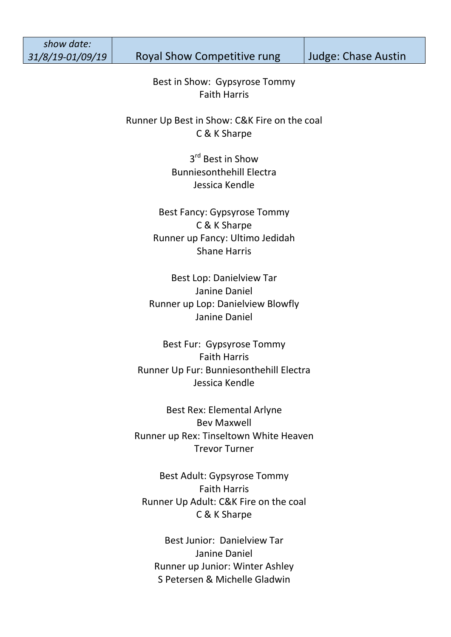*show date:* 

31/8/19-01/09/19 | Royal Show Competitive rung | Judge: Chase Austin

Best in Show: Gypsyrose Tommy Faith Harris

Runner Up Best in Show: C&K Fire on the coal C & K Sharpe

> 3<sup>rd</sup> Best in Show Bunniesonthehill Electra Jessica Kendle

Best Fancy: Gypsyrose Tommy C & K Sharpe Runner up Fancy: Ultimo Jedidah Shane Harris

Best Lop: Danielview Tar Janine Daniel Runner up Lop: Danielview Blowfly Janine Daniel

Best Fur: Gypsyrose Tommy Faith Harris Runner Up Fur: Bunniesonthehill Electra Jessica Kendle

Best Rex: Elemental Arlyne Bev Maxwell Runner up Rex: Tinseltown White Heaven Trevor Turner

Best Adult: Gypsyrose Tommy Faith Harris Runner Up Adult: C&K Fire on the coal C & K Sharpe

Best Junior: Danielview Tar Janine Daniel Runner up Junior: Winter Ashley S Petersen & Michelle Gladwin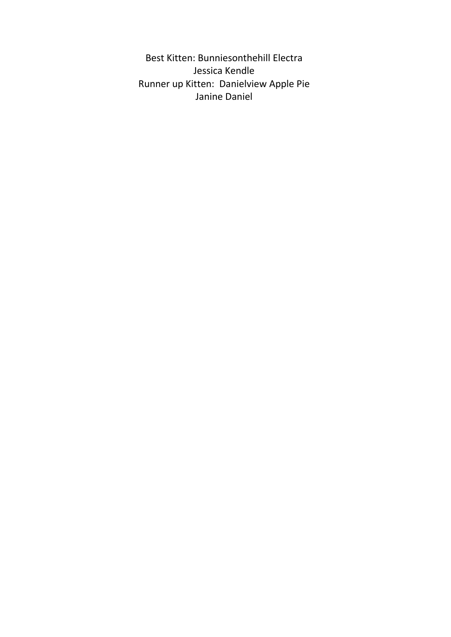Best Kitten: Bunniesonthehill Electra Jessica Kendle Runner up Kitten: Danielview Apple Pie Janine Daniel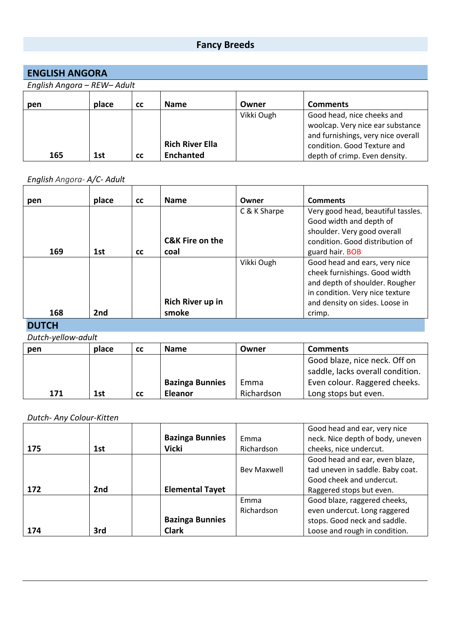## **Fancy Breeds**

| <b>ENGLISH ANGORA</b>       |       |           |                        |            |                                                                                                                                     |  |  |  |
|-----------------------------|-------|-----------|------------------------|------------|-------------------------------------------------------------------------------------------------------------------------------------|--|--|--|
| English Angora - REW- Adult |       |           |                        |            |                                                                                                                                     |  |  |  |
| pen                         | place | <b>CC</b> | <b>Name</b>            | Owner      | <b>Comments</b>                                                                                                                     |  |  |  |
|                             |       |           | <b>Rich River Ella</b> | Vikki Ough | Good head, nice cheeks and<br>woolcap. Very nice ear substance<br>and furnishings, very nice overall<br>condition. Good Texture and |  |  |  |
| 165                         | 1st   | <b>CC</b> | <b>Enchanted</b>       |            | depth of crimp. Even density.                                                                                                       |  |  |  |

## *English Angora- A/C- Adult*

| pen | place           | <b>CC</b> | <b>Name</b>                | Owner        | <b>Comments</b>                                                                                                                                                       |
|-----|-----------------|-----------|----------------------------|--------------|-----------------------------------------------------------------------------------------------------------------------------------------------------------------------|
|     |                 |           | <b>C&amp;K Fire on the</b> | C & K Sharpe | Very good head, beautiful tassles.<br>Good width and depth of<br>shoulder. Very good overall<br>condition. Good distribution of                                       |
| 169 | 1st             | <b>CC</b> | coal                       |              | guard hair. BOB                                                                                                                                                       |
|     |                 |           | Rich River up in           | Vikki Ough   | Good head and ears, very nice<br>cheek furnishings. Good width<br>and depth of shoulder. Rougher<br>in condition. Very nice texture<br>and density on sides. Loose in |
| 168 | 2 <sub>nd</sub> |           | smoke                      |              | crimp.                                                                                                                                                                |

#### **DUTCH**

*Dutch-yellow-adult* 

| pen | place | <b>CC</b> | <b>Name</b>            | Owner      | <b>Comments</b>                  |
|-----|-------|-----------|------------------------|------------|----------------------------------|
|     |       |           |                        |            | Good blaze, nice neck. Off on    |
|     |       |           |                        |            | saddle, lacks overall condition. |
|     |       |           | <b>Bazinga Bunnies</b> | Emma       | Even colour. Raggered cheeks.    |
| 171 | 1st   | <b>CC</b> | Eleanor                | Richardson | Long stops but even.             |

#### *Dutch- Any Colour-Kitten*

|     |                 |                        |             | Good head and ear, very nice     |
|-----|-----------------|------------------------|-------------|----------------------------------|
|     |                 | <b>Bazinga Bunnies</b> | <b>Fmma</b> | neck. Nice depth of body, uneven |
| 175 | 1st             | <b>Vicki</b>           | Richardson  | cheeks, nice undercut.           |
|     |                 |                        |             | Good head and ear, even blaze,   |
|     |                 |                        | Bev Maxwell | tad uneven in saddle. Baby coat. |
|     |                 |                        |             | Good cheek and undercut.         |
| 172 | 2 <sub>nd</sub> | <b>Elemental Tayet</b> |             | Raggered stops but even.         |
|     |                 |                        | Emma        | Good blaze, raggered cheeks,     |
|     |                 |                        | Richardson  | even undercut. Long raggered     |
|     |                 | <b>Bazinga Bunnies</b> |             | stops. Good neck and saddle.     |
| 174 | 3rd             | <b>Clark</b>           |             | Loose and rough in condition.    |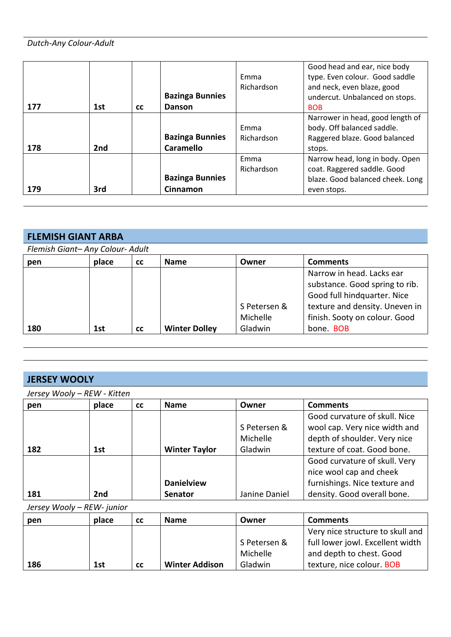#### *Dutch-Any Colour-Adult*

| 177 | 1st             | <b>CC</b> | <b>Bazinga Bunnies</b><br>Danson           | Emma<br>Richardson | Good head and ear, nice body<br>type. Even colour. Good saddle<br>and neck, even blaze, good<br>undercut. Unbalanced on stops.<br><b>BOB</b> |
|-----|-----------------|-----------|--------------------------------------------|--------------------|----------------------------------------------------------------------------------------------------------------------------------------------|
| 178 | 2 <sub>nd</sub> |           | <b>Bazinga Bunnies</b><br><b>Caramello</b> | Emma<br>Richardson | Narrower in head, good length of<br>body. Off balanced saddle.<br>Raggered blaze. Good balanced<br>stops.                                    |
| 179 | 3rd             |           | <b>Bazinga Bunnies</b><br><b>Cinnamon</b>  | Emma<br>Richardson | Narrow head, long in body. Open<br>coat. Raggered saddle. Good<br>blaze. Good balanced cheek. Long<br>even stops.                            |

#### **FLEMISH GIANT ARBA**

*Flemish Giant– Any Colour- Adult*

| pen | place | cc        | <b>Name</b>          | Owner        | <b>Comments</b>                |
|-----|-------|-----------|----------------------|--------------|--------------------------------|
|     |       |           |                      |              | Narrow in head. Lacks ear      |
|     |       |           |                      |              | substance. Good spring to rib. |
|     |       |           |                      |              | Good full hindquarter. Nice    |
|     |       |           |                      | S Petersen & | texture and density. Uneven in |
|     |       |           |                      | Michelle     | finish. Sooty on colour. Good  |
| 180 | 1st   | <b>CC</b> | <b>Winter Dolley</b> | Gladwin      | bone. BOB                      |

#### **JERSEY WOOLY**

*Jersey Wooly – REW - Kitten*

| pen | place           | cc | <b>Name</b>          | Owner         | <b>Comments</b>               |
|-----|-----------------|----|----------------------|---------------|-------------------------------|
|     |                 |    |                      |               | Good curvature of skull. Nice |
|     |                 |    |                      | S Petersen &  | wool cap. Very nice width and |
|     |                 |    |                      | Michelle      | depth of shoulder. Very nice  |
| 182 | 1st             |    | <b>Winter Taylor</b> | Gladwin       | texture of coat. Good bone.   |
|     |                 |    |                      |               | Good curvature of skull. Very |
|     |                 |    |                      |               | nice wool cap and cheek       |
|     |                 |    | <b>Danielview</b>    |               | furnishings. Nice texture and |
| 181 | 2 <sub>nd</sub> |    | <b>Senator</b>       | Janine Daniel | density. Good overall bone.   |

*Jersey Wooly – REW- junior*

| pen | place | <b>CC</b> | <b>Name</b>           | Owner        | <b>Comments</b>                  |
|-----|-------|-----------|-----------------------|--------------|----------------------------------|
|     |       |           |                       |              | Very nice structure to skull and |
|     |       |           |                       | S Petersen & | full lower jowl. Excellent width |
|     |       |           |                       | Michelle     | and depth to chest. Good         |
| 186 | 1st   | <b>CC</b> | <b>Winter Addison</b> | Gladwin      | texture, nice colour. BOB        |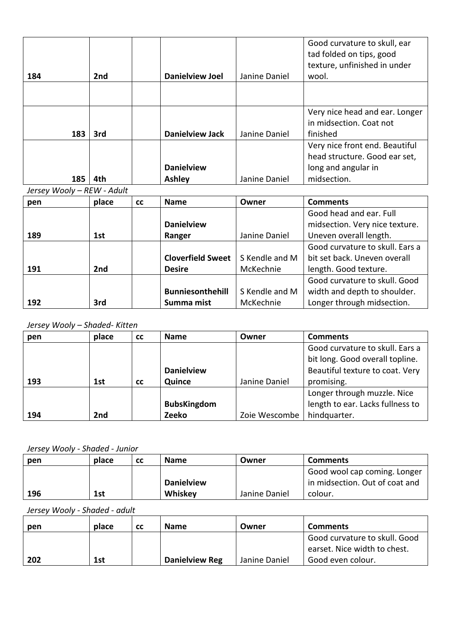| 184 | 2nd | <b>Danielview Joel</b> | Janine Daniel | Good curvature to skull, ear<br>tad folded on tips, good<br>texture, unfinished in under<br>wool. |
|-----|-----|------------------------|---------------|---------------------------------------------------------------------------------------------------|
|     |     |                        |               |                                                                                                   |
|     |     |                        |               |                                                                                                   |
|     |     |                        |               | Very nice head and ear. Longer                                                                    |
|     |     |                        |               | in midsection. Coat not                                                                           |
| 183 | 3rd | <b>Danielview Jack</b> | Janine Daniel | finished                                                                                          |
|     |     |                        |               | Very nice front end. Beautiful<br>head structure. Good ear set,                                   |
|     |     |                        |               |                                                                                                   |
|     |     | <b>Danielview</b>      |               | long and angular in                                                                               |
| 185 | 4th | <b>Ashley</b>          | Janine Daniel | midsection.                                                                                       |

*Jersey Wooly – REW - Adult*

| pen | place | cc | <b>Name</b>              | Owner          | <b>Comments</b>                 |
|-----|-------|----|--------------------------|----------------|---------------------------------|
|     |       |    |                          |                | Good head and ear. Full         |
|     |       |    | <b>Danielview</b>        |                | midsection. Very nice texture.  |
| 189 | 1st   |    | Ranger                   | Janine Daniel  | Uneven overall length.          |
|     |       |    |                          |                | Good curvature to skull. Ears a |
|     |       |    | <b>Cloverfield Sweet</b> | S Kendle and M | bit set back. Uneven overall    |
| 191 | 2nd   |    | <b>Desire</b>            | McKechnie      | length. Good texture.           |
|     |       |    |                          |                | Good curvature to skull. Good   |
|     |       |    | <b>Bunniesonthehill</b>  | S Kendle and M | width and depth to shoulder.    |
| 192 | 3rd   |    | Summa mist               | McKechnie      | Longer through midsection.      |

#### *Jersey Wooly – Shaded- Kitten*

| pen | place           | <b>CC</b> | <b>Name</b>        | Owner         | <b>Comments</b>                  |
|-----|-----------------|-----------|--------------------|---------------|----------------------------------|
|     |                 |           |                    |               | Good curvature to skull. Ears a  |
|     |                 |           |                    |               | bit long. Good overall topline.  |
|     |                 |           | <b>Danielview</b>  |               | Beautiful texture to coat. Very  |
| 193 | 1st             | <b>CC</b> | Quince             | Janine Daniel | promising.                       |
|     |                 |           |                    |               | Longer through muzzle. Nice      |
|     |                 |           | <b>BubsKingdom</b> |               | length to ear. Lacks fullness to |
| 194 | 2 <sub>nd</sub> |           | Zeeko              | Zoie Wescombe | hindquarter.                     |

#### *Jersey Wooly - Shaded - Junior*

| pen | place | <b>CC</b> | <b>Name</b>       | Owner         | <b>Comments</b>                |
|-----|-------|-----------|-------------------|---------------|--------------------------------|
|     |       |           |                   |               | Good wool cap coming. Longer   |
|     |       |           | <b>Danielview</b> |               | in midsection. Out of coat and |
| 196 | 1st   |           | Whiskey           | Janine Daniel | colour.                        |

*Jersey Wooly - Shaded - adult*

| pen | place | <b>CC</b> | <b>Name</b>           | Owner         | <b>Comments</b>                                               |
|-----|-------|-----------|-----------------------|---------------|---------------------------------------------------------------|
|     |       |           |                       |               | Good curvature to skull. Good<br>earset. Nice width to chest. |
| 202 | 1st   |           | <b>Danielview Reg</b> | Janine Daniel | Good even colour.                                             |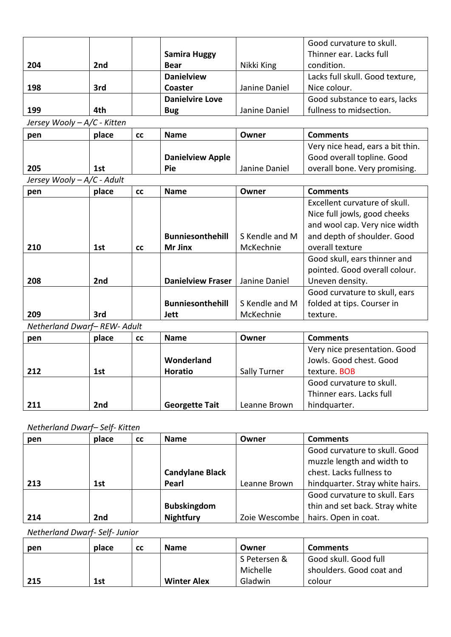|                             |       |           |                          |                | Good curvature to skull.         |
|-----------------------------|-------|-----------|--------------------------|----------------|----------------------------------|
|                             |       |           | <b>Samira Huggy</b>      |                | Thinner ear. Lacks full          |
| 204                         | 2nd   |           | <b>Bear</b>              | Nikki King     | condition.                       |
|                             |       |           | <b>Danielview</b>        |                | Lacks full skull. Good texture,  |
| 198                         | 3rd   |           | Coaster                  | Janine Daniel  | Nice colour.                     |
|                             |       |           | <b>Danielvire Love</b>   |                | Good substance to ears, lacks    |
| 199                         | 4th   |           | <b>Bug</b>               | Janine Daniel  | fullness to midsection.          |
| Jersey Wooly - A/C - Kitten |       |           |                          |                |                                  |
| pen                         | place | <b>CC</b> | <b>Name</b>              | Owner          | <b>Comments</b>                  |
|                             |       |           |                          |                | Very nice head, ears a bit thin. |
|                             |       |           | <b>Danielview Apple</b>  |                | Good overall topline. Good       |
| 205                         | 1st   |           | Pie                      | Janine Daniel  | overall bone. Very promising.    |
| Jersey Wooly - A/C - Adult  |       |           |                          |                |                                  |
| pen                         | place | <b>CC</b> | <b>Name</b>              | Owner          | <b>Comments</b>                  |
|                             |       |           |                          |                | Excellent curvature of skull.    |
|                             |       |           |                          |                | Nice full jowls, good cheeks     |
|                             |       |           |                          |                | and wool cap. Very nice width    |
|                             |       |           | <b>Bunniesonthehill</b>  | S Kendle and M | and depth of shoulder. Good      |
| 210                         | 1st   | <b>CC</b> | Mr Jinx                  | McKechnie      | overall texture                  |
|                             |       |           |                          |                | Good skull, ears thinner and     |
|                             |       |           |                          |                | pointed. Good overall colour.    |
| 208                         | 2nd   |           | <b>Danielview Fraser</b> | Janine Daniel  | Uneven density.                  |
|                             |       |           |                          |                | Good curvature to skull, ears    |
|                             |       |           | <b>Bunniesonthehill</b>  | S Kendle and M | folded at tips. Courser in       |
| 209                         | 3rd   |           | <b>Jett</b>              | McKechnie      | texture.                         |
| Netherland Dwarf-REW- Adult |       |           |                          |                |                                  |
| pen                         | place | <b>CC</b> | <b>Name</b>              | Owner          | <b>Comments</b>                  |
|                             |       |           |                          |                | Very nice presentation. Good     |
|                             |       |           | Wonderland               |                | Jowls. Good chest. Good          |
| 212                         | 1st   |           | <b>Horatio</b>           | Sally Turner   | texture. BOB                     |
|                             |       |           |                          |                | Good curvature to skull.         |
|                             |       |           |                          |                | Thinner ears. Lacks full         |
| 211                         | 2nd   |           | <b>Georgette Tait</b>    | Leanne Brown   | hindquarter.                     |

## *Netherland Dwarf– Self- Kitten*

| pen | place<br><b>CC</b> | <b>Name</b>            | Owner         | <b>Comments</b>                                             |
|-----|--------------------|------------------------|---------------|-------------------------------------------------------------|
|     |                    |                        |               | Good curvature to skull. Good<br>muzzle length and width to |
|     |                    | <b>Candylane Black</b> |               | chest. Lacks fullness to                                    |
| 213 | 1st                | Pearl                  | Leanne Brown  | hindquarter. Stray white hairs.                             |
|     |                    |                        |               | Good curvature to skull. Ears                               |
|     |                    | <b>Bubskingdom</b>     |               | thin and set back. Stray white                              |
| 214 | 2nd                | <b>Nightfury</b>       | Zoie Wescombe | hairs. Open in coat.                                        |

*Netherland Dwarf- Self- Junior*

| pen | place | <b>CC</b> | <b>Name</b>        | Owner        | <b>Comments</b>          |
|-----|-------|-----------|--------------------|--------------|--------------------------|
|     |       |           |                    | S Petersen & | Good skull. Good full    |
|     |       |           |                    | Michelle     | shoulders. Good coat and |
| 215 | 1st   |           | <b>Winter Alex</b> | Gladwin      | colour                   |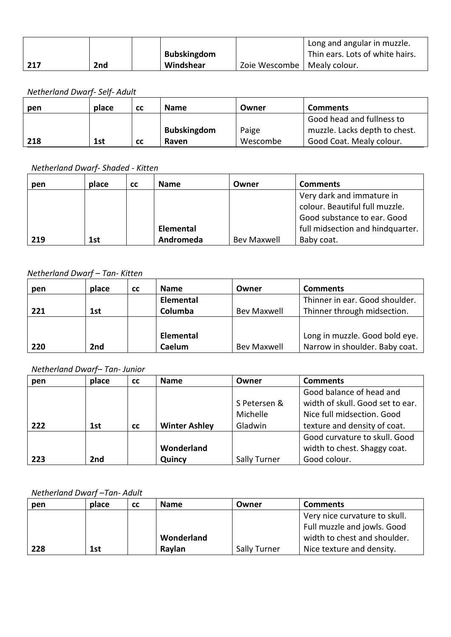|     |     |                    |               | Long and angular in muzzle.     |
|-----|-----|--------------------|---------------|---------------------------------|
|     |     | <b>Bubskingdom</b> |               | Thin ears. Lots of white hairs. |
| 217 | 2nd | Windshear          | Zoie Wescombe | Mealy colour.                   |

## *Netherland Dwarf- Self- Adult*

| pen | place | <b>CC</b> | <b>Name</b>        | Owner    | <b>Comments</b>               |
|-----|-------|-----------|--------------------|----------|-------------------------------|
|     |       |           |                    |          | Good head and fullness to     |
|     |       |           | <b>Bubskingdom</b> | Paige    | muzzle. Lacks depth to chest. |
| 218 | 1st   | <b>CC</b> | Raven              | Wescombe | Good Coat. Mealy colour.      |

#### *Netherland Dwarf- Shaded - Kitten*

| pen | place | <b>CC</b> | <b>Name</b> | Owner              | <b>Comments</b>                  |
|-----|-------|-----------|-------------|--------------------|----------------------------------|
|     |       |           |             |                    | Very dark and immature in        |
|     |       |           |             |                    | colour. Beautiful full muzzle.   |
|     |       |           |             |                    | Good substance to ear. Good      |
|     |       |           | Elemental   |                    | full midsection and hindquarter. |
| 219 | 1st   |           | Andromeda   | <b>Bev Maxwell</b> | Baby coat.                       |

#### *Netherland Dwarf – Tan- Kitten*

| pen | place           | <b>CC</b> | <b>Name</b> | Owner       | <b>Comments</b>                |
|-----|-----------------|-----------|-------------|-------------|--------------------------------|
|     |                 |           | Elemental   |             | Thinner in ear. Good shoulder. |
| 221 | 1st             |           | Columba     | Bev Maxwell | Thinner through midsection.    |
|     |                 |           |             |             |                                |
|     |                 |           | Elemental   |             | Long in muzzle. Good bold eye. |
| 220 | 2 <sub>nd</sub> |           | Caelum      | Bev Maxwell | Narrow in shoulder. Baby coat. |

## *Netherland Dwarf– Tan- Junior*

| pen | place           | <b>CC</b> | <b>Name</b>          | Owner                               | <b>Comments</b>                                                                                                            |
|-----|-----------------|-----------|----------------------|-------------------------------------|----------------------------------------------------------------------------------------------------------------------------|
| 222 | 1st             | <b>CC</b> | <b>Winter Ashley</b> | S Petersen &<br>Michelle<br>Gladwin | Good balance of head and<br>width of skull. Good set to ear.<br>Nice full midsection. Good<br>texture and density of coat. |
| 223 | 2 <sub>nd</sub> |           | Wonderland<br>Quincy | <b>Sally Turner</b>                 | Good curvature to skull. Good<br>width to chest. Shaggy coat.<br>Good colour.                                              |

#### *Netherland Dwarf –Tan- Adult*

| pen | place | <b>CC</b> | <b>Name</b> | Owner        | <b>Comments</b>               |
|-----|-------|-----------|-------------|--------------|-------------------------------|
|     |       |           |             |              | Very nice curvature to skull. |
|     |       |           |             |              | Full muzzle and jowls. Good   |
|     |       |           | Wonderland  |              | width to chest and shoulder.  |
| 228 | 1st   |           | Raylan      | Sally Turner | Nice texture and density.     |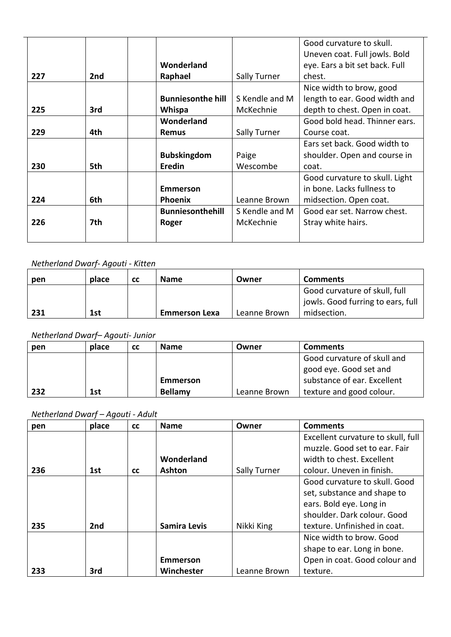|     |     |                          |                | Good curvature to skull.       |
|-----|-----|--------------------------|----------------|--------------------------------|
|     |     |                          |                | Uneven coat. Full jowls. Bold  |
|     |     | Wonderland               |                | eye. Ears a bit set back. Full |
| 227 | 2nd | Raphael                  | Sally Turner   | chest.                         |
|     |     |                          |                | Nice width to brow, good       |
|     |     | <b>Bunniesonthe hill</b> | S Kendle and M | length to ear. Good width and  |
| 225 | 3rd | Whispa                   | McKechnie      | depth to chest. Open in coat.  |
|     |     | Wonderland               |                | Good bold head. Thinner ears.  |
| 229 | 4th | <b>Remus</b>             | Sally Turner   | Course coat.                   |
|     |     |                          |                | Ears set back. Good width to   |
|     |     | <b>Bubskingdom</b>       | Paige          | shoulder. Open and course in   |
| 230 | 5th | <b>Eredin</b>            | Wescombe       | coat.                          |
|     |     |                          |                | Good curvature to skull. Light |
|     |     | <b>Emmerson</b>          |                | in bone. Lacks fullness to     |
| 224 | 6th | <b>Phoenix</b>           | Leanne Brown   | midsection. Open coat.         |
|     |     | <b>Bunniesonthehill</b>  | S Kendle and M | Good ear set. Narrow chest.    |
| 226 | 7th | Roger                    | McKechnie      | Stray white hairs.             |
|     |     |                          |                |                                |

## *Netherland Dwarf- Agouti - Kitten*

| pen | place | <b>CC</b> | <b>Name</b>          | Owner        | <b>Comments</b>                                                    |
|-----|-------|-----------|----------------------|--------------|--------------------------------------------------------------------|
|     |       |           |                      |              | Good curvature of skull, full<br>jowls. Good furring to ears, full |
| 231 | 1st   |           | <b>Emmerson Lexa</b> | Leanne Brown | midsection.                                                        |

## *Netherland Dwarf– Agouti- Junior*

| pen | place | <b>CC</b> | <b>Name</b> | Owner        | <b>Comments</b>             |
|-----|-------|-----------|-------------|--------------|-----------------------------|
|     |       |           |             |              | Good curvature of skull and |
|     |       |           |             |              | good eye. Good set and      |
|     |       |           | Emmerson    |              | substance of ear. Excellent |
| 232 | 1st   |           | Bellamy     | Leanne Brown | texture and good colour.    |

## *Netherland Dwarf – Agouti - Adult*

| pen | place | <b>CC</b> | <b>Name</b>         | Owner        | <b>Comments</b>                    |
|-----|-------|-----------|---------------------|--------------|------------------------------------|
|     |       |           |                     |              | Excellent curvature to skull, full |
|     |       |           |                     |              | muzzle. Good set to ear. Fair      |
|     |       |           | Wonderland          |              | width to chest. Excellent          |
| 236 | 1st   | <b>CC</b> | <b>Ashton</b>       | Sally Turner | colour. Uneven in finish.          |
|     |       |           |                     |              | Good curvature to skull. Good      |
|     |       |           |                     |              | set, substance and shape to        |
|     |       |           |                     |              | ears. Bold eye. Long in            |
|     |       |           |                     |              | shoulder. Dark colour. Good        |
| 235 | 2nd   |           | <b>Samira Levis</b> | Nikki King   | texture. Unfinished in coat.       |
|     |       |           |                     |              | Nice width to brow. Good           |
|     |       |           |                     |              | shape to ear. Long in bone.        |
|     |       |           | <b>Emmerson</b>     |              | Open in coat. Good colour and      |
| 233 | 3rd   |           | Winchester          | Leanne Brown | texture.                           |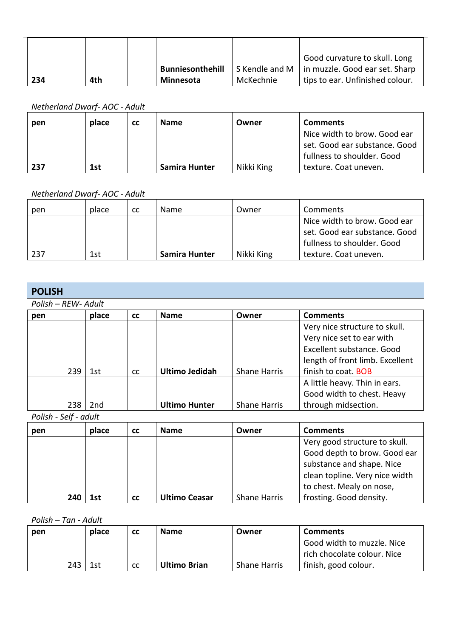|     |     |                         |                | Good curvature to skull. Long   |
|-----|-----|-------------------------|----------------|---------------------------------|
|     |     | <b>Bunniesonthehill</b> | S Kendle and M | in muzzle. Good ear set. Sharp  |
| 234 | 4th | <b>Minnesota</b>        | McKechnie      | tips to ear. Unfinished colour. |

*Netherland Dwarf- AOC - Adult*

| pen | place | <b>CC</b> | <b>Name</b>          | Owner      | <b>Comments</b>               |
|-----|-------|-----------|----------------------|------------|-------------------------------|
|     |       |           |                      |            | Nice width to brow. Good ear  |
|     |       |           |                      |            | set. Good ear substance. Good |
|     |       |           |                      |            | fullness to shoulder. Good    |
| 237 | 1st   |           | <b>Samira Hunter</b> | Nikki King | texture. Coat uneven.         |

*Netherland Dwarf- AOC - Adult*

| pen | place | cc | <b>Name</b>   | Owner      | <b>Comments</b>               |
|-----|-------|----|---------------|------------|-------------------------------|
|     |       |    |               |            | Nice width to brow. Good ear  |
|     |       |    |               |            | set. Good ear substance. Good |
|     |       |    |               |            | fullness to shoulder. Good    |
| 237 | 1st   |    | Samira Hunter | Nikki King | texture. Coat uneven.         |

## **POLISH**

*Polish – REW- Adult*

| pen | place | <b>CC</b>     | <b>Name</b>           | Owner               | <b>Comments</b>                 |
|-----|-------|---------------|-----------------------|---------------------|---------------------------------|
|     |       |               |                       |                     | Very nice structure to skull.   |
|     |       |               |                       |                     | Very nice set to ear with       |
|     |       |               |                       |                     | Excellent substance. Good       |
|     |       |               |                       |                     | length of front limb. Excellent |
| 239 | 1st   | <sub>cc</sub> | <b>Ultimo Jedidah</b> | <b>Shane Harris</b> | finish to coat. BOB             |
|     |       |               |                       |                     | A little heavy. Thin in ears.   |
|     |       |               |                       |                     | Good width to chest. Heavy      |
| 238 | 2nd   |               | <b>Ultimo Hunter</b>  | <b>Shane Harris</b> | through midsection.             |

*Polish - Self - adult*

| pen | place | <b>CC</b> | <b>Name</b>          | Owner               | <b>Comments</b>                |
|-----|-------|-----------|----------------------|---------------------|--------------------------------|
|     |       |           |                      |                     | Very good structure to skull.  |
|     |       |           |                      |                     | Good depth to brow. Good ear   |
|     |       |           |                      |                     | substance and shape. Nice      |
|     |       |           |                      |                     | clean topline. Very nice width |
|     |       |           |                      |                     | to chest. Mealy on nose,       |
| 240 | 1st   | <b>CC</b> | <b>Ultimo Ceasar</b> | <b>Shane Harris</b> | frosting. Good density.        |

*Polish – Tan - Adult*

| pen | place | cс            | <b>Name</b>         | Owner               | <b>Comments</b>             |
|-----|-------|---------------|---------------------|---------------------|-----------------------------|
|     |       |               |                     |                     | Good width to muzzle. Nice  |
|     |       |               |                     |                     | rich chocolate colour. Nice |
| 243 | 1st   | <sub>cc</sub> | <b>Ultimo Brian</b> | <b>Shane Harris</b> | finish, good colour.        |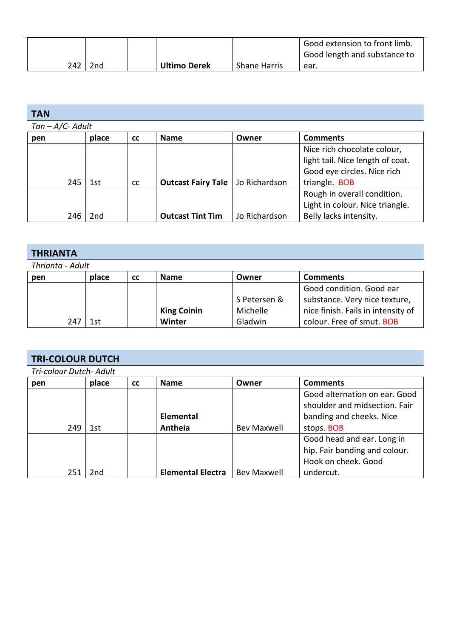|     |     |                     |                     | Good extension to front limb.<br>Good length and substance to |
|-----|-----|---------------------|---------------------|---------------------------------------------------------------|
| 242 | 2nd | <b>Ultimo Derek</b> | <b>Shane Harris</b> | ear.                                                          |

| <b>TAN</b>          |       |           |                           |               |                                  |  |  |  |  |
|---------------------|-------|-----------|---------------------------|---------------|----------------------------------|--|--|--|--|
| $Tan - A/C- A dult$ |       |           |                           |               |                                  |  |  |  |  |
| pen                 | place | <b>CC</b> | <b>Name</b>               | Owner         | <b>Comments</b>                  |  |  |  |  |
|                     |       |           |                           |               | Nice rich chocolate colour,      |  |  |  |  |
|                     |       |           |                           |               | light tail. Nice length of coat. |  |  |  |  |
|                     |       |           |                           |               | Good eye circles. Nice rich      |  |  |  |  |
| 245                 | 1st   | <b>CC</b> | <b>Outcast Fairy Tale</b> | Jo Richardson | triangle. BOB                    |  |  |  |  |
|                     |       |           |                           |               | Rough in overall condition.      |  |  |  |  |
|                     |       |           |                           |               | Light in colour. Nice triangle.  |  |  |  |  |
| 246                 | 2nd   |           | <b>Outcast Tint Tim</b>   | Jo Richardson | Belly lacks intensity.           |  |  |  |  |

| <b>THRIANTA</b>  |       |           |                    |              |                                    |  |  |  |
|------------------|-------|-----------|--------------------|--------------|------------------------------------|--|--|--|
| Thrianta - Adult |       |           |                    |              |                                    |  |  |  |
| pen              | place | <b>CC</b> | <b>Name</b>        | Owner        | <b>Comments</b>                    |  |  |  |
|                  |       |           |                    |              | Good condition. Good ear           |  |  |  |
|                  |       |           |                    | S Petersen & | substance. Very nice texture,      |  |  |  |
|                  |       |           | <b>King Coinin</b> | Michelle     | nice finish. Fails in intensity of |  |  |  |
| 247              | 1st   |           | Winter             | Gladwin      | colour. Free of smut. BOB          |  |  |  |

# **TRI-COLOUR DUTCH**

| Tri-colour Dutch- Adult |       |           |                          |                    |                               |  |  |  |
|-------------------------|-------|-----------|--------------------------|--------------------|-------------------------------|--|--|--|
| pen                     | place | <b>CC</b> | <b>Name</b>              | Owner              | <b>Comments</b>               |  |  |  |
|                         |       |           |                          |                    | Good alternation on ear. Good |  |  |  |
|                         |       |           |                          |                    | shoulder and midsection. Fair |  |  |  |
|                         |       |           | Elemental                |                    | banding and cheeks. Nice      |  |  |  |
| 249                     | 1st   |           | Antheia                  | <b>Bev Maxwell</b> | stops. BOB                    |  |  |  |
|                         |       |           |                          |                    | Good head and ear. Long in    |  |  |  |
|                         |       |           |                          |                    | hip. Fair banding and colour. |  |  |  |
|                         |       |           |                          |                    | Hook on cheek. Good           |  |  |  |
| 251                     | 2nd   |           | <b>Elemental Electra</b> | <b>Bev Maxwell</b> | undercut.                     |  |  |  |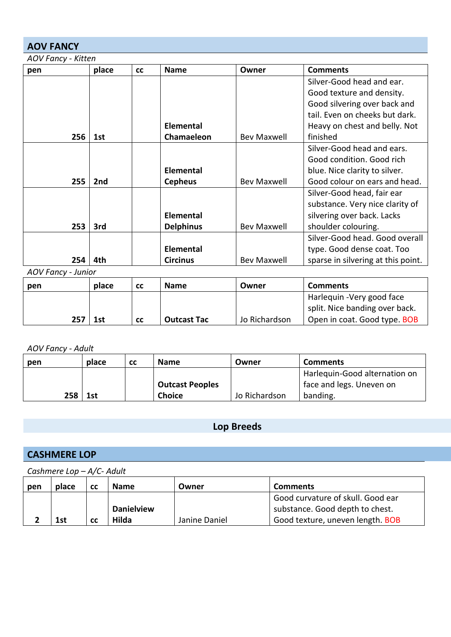## **AOV FANCY**

| pen | place | <b>CC</b> | <b>Name</b>      | Owner              | <b>Comments</b>                    |
|-----|-------|-----------|------------------|--------------------|------------------------------------|
|     |       |           |                  |                    | Silver-Good head and ear.          |
|     |       |           |                  |                    | Good texture and density.          |
|     |       |           |                  |                    | Good silvering over back and       |
|     |       |           |                  |                    | tail. Even on cheeks but dark.     |
|     |       |           | <b>Elemental</b> |                    | Heavy on chest and belly. Not      |
| 256 | 1st   |           | Chamaeleon       | Bev Maxwell        | finished                           |
|     |       |           |                  |                    | Silver-Good head and ears.         |
|     |       |           |                  |                    | Good condition. Good rich          |
|     |       |           | <b>Elemental</b> |                    | blue. Nice clarity to silver.      |
| 255 | 2nd   |           | <b>Cepheus</b>   | <b>Bev Maxwell</b> | Good colour on ears and head.      |
|     |       |           |                  |                    | Silver-Good head, fair ear         |
|     |       |           |                  |                    | substance. Very nice clarity of    |
|     |       |           | <b>Elemental</b> |                    | silvering over back. Lacks         |
| 253 | 3rd   |           | <b>Delphinus</b> | <b>Bev Maxwell</b> | shoulder colouring.                |
|     |       |           |                  |                    | Silver-Good head. Good overall     |
|     |       |           | <b>Elemental</b> |                    | type. Good dense coat. Too         |
| 254 | 4th   |           | <b>Circinus</b>  | <b>Bev Maxwell</b> | sparse in silvering at this point. |

*AOV Fancy - Junior*

| pen | place | <b>CC</b> | <b>Name</b>        | Owner         | <b>Comments</b>                                              |
|-----|-------|-----------|--------------------|---------------|--------------------------------------------------------------|
|     |       |           |                    |               | Harlequin - Very good face<br>split. Nice banding over back. |
| 257 | 1st   | <b>CC</b> | <b>Outcast Tac</b> | Jo Richardson | Open in coat. Good type. BOB                                 |

*AOV Fancy - Adult*

| pen | place | <b>CC</b> | <b>Name</b>            | Owner         | <b>Comments</b>               |
|-----|-------|-----------|------------------------|---------------|-------------------------------|
|     |       |           |                        |               | Harlequin-Good alternation on |
|     |       |           | <b>Outcast Peoples</b> |               | face and legs. Uneven on      |
| 258 | 1st   |           | <b>Choice</b>          | Jo Richardson | banding.                      |

## **Lop Breeds**

## **CASHMERE LOP**

*Cashmere Lop – A/C- Adult*

| pen | place | СC | <b>Name</b>       | Owner         | <b>Comments</b>                   |
|-----|-------|----|-------------------|---------------|-----------------------------------|
|     |       |    |                   |               | Good curvature of skull. Good ear |
|     |       |    | <b>Danielview</b> |               | substance. Good depth to chest.   |
|     | 1st   | CC | Hilda             | Janine Daniel | Good texture, uneven length. BOB  |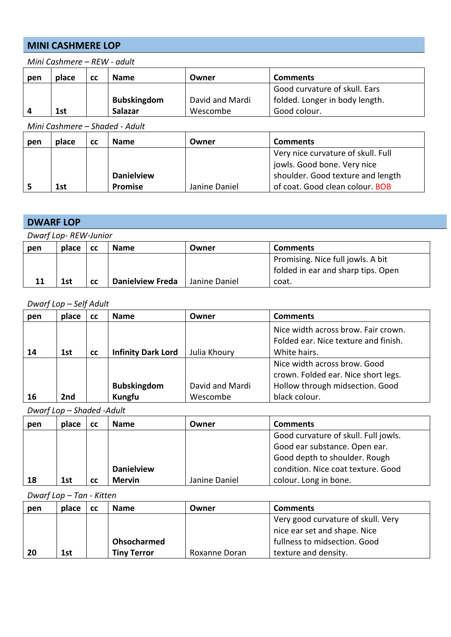### **MINI CASHMERE LOP**

| Good curvature of skull. Ears  |
|--------------------------------|
| folded. Longer in body length. |
|                                |
|                                |

*Mini Cashmere – REW - adult*

*Mini Cashmere – Shaded - Adult*

| pen | place | СC | <b>Name</b>       | Owner         | <b>Comments</b>                    |
|-----|-------|----|-------------------|---------------|------------------------------------|
|     |       |    |                   |               | Very nice curvature of skull. Full |
|     |       |    |                   |               | jowls. Good bone. Very nice        |
|     |       |    | <b>Danielview</b> |               | shoulder. Good texture and length  |
|     | 1st   |    | <b>Promise</b>    | Janine Daniel | of coat. Good clean colour. BOB    |

## **DWARF LOP**

| Dwarf Lop-REW-Junior |       |           |                         |               |                                    |  |
|----------------------|-------|-----------|-------------------------|---------------|------------------------------------|--|
| pen                  | place | <b>CC</b> | <b>Name</b>             | Owner         | <b>Comments</b>                    |  |
|                      |       |           |                         |               | Promising. Nice full jowls. A bit  |  |
|                      |       |           |                         |               | folded in ear and sharp tips. Open |  |
| 11                   | 1st   | <b>CC</b> | <b>Danielview Freda</b> | Janine Daniel | coat.                              |  |

#### *Dwarf Lop – Self Adult*

| pen | place | <b>CC</b> | <b>Name</b>               | Owner           | <b>Comments</b>                                                                                        |
|-----|-------|-----------|---------------------------|-----------------|--------------------------------------------------------------------------------------------------------|
| 14  | 1st   | <b>CC</b> | <b>Infinity Dark Lord</b> | Julia Khoury    | Nice width across brow. Fair crown.<br>Folded ear. Nice texture and finish.<br>White hairs.            |
|     |       |           | <b>Bubskingdom</b>        | David and Mardi | Nice width across brow. Good<br>crown. Folded ear. Nice short legs.<br>Hollow through midsection. Good |
| 16  | 2nd   |           | Kungfu                    | Wescombe        | black colour.                                                                                          |

*Dwarf Lop – Shaded -Adult*

| pen | place | СC | <b>Name</b>       | Owner         | <b>Comments</b>                      |
|-----|-------|----|-------------------|---------------|--------------------------------------|
|     |       |    |                   |               | Good curvature of skull. Full jowls. |
|     |       |    |                   |               | Good ear substance. Open ear.        |
|     |       |    |                   |               | Good depth to shoulder. Rough        |
|     |       |    | <b>Danielview</b> |               | condition. Nice coat texture. Good   |
| 18  | 1st   | cс | <b>Mervin</b>     | Janine Daniel | colour. Long in bone.                |

*Dwarf Lop – Tan - Kitten*

| pen | place | cс | <b>Name</b>        | Owner         | <b>Comments</b>                    |
|-----|-------|----|--------------------|---------------|------------------------------------|
|     |       |    |                    |               | Very good curvature of skull. Very |
|     |       |    |                    |               | nice ear set and shape. Nice       |
|     |       |    | Ohsocharmed        |               | fullness to midsection. Good       |
| 20  | 1st   |    | <b>Tiny Terror</b> | Roxanne Doran | texture and density.               |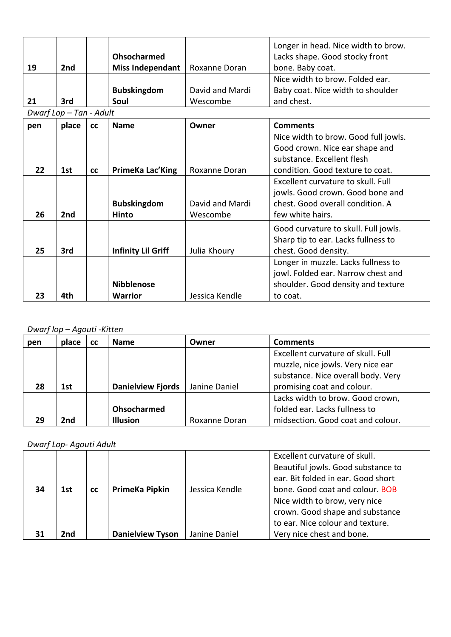|     |                         |           |                           |                 | Longer in head. Nice width to brow.  |
|-----|-------------------------|-----------|---------------------------|-----------------|--------------------------------------|
|     |                         |           | Ohsocharmed               |                 | Lacks shape. Good stocky front       |
| 19  | 2 <sub>nd</sub>         |           | <b>Miss Independant</b>   | Roxanne Doran   | bone. Baby coat.                     |
|     |                         |           |                           |                 | Nice width to brow. Folded ear.      |
|     |                         |           | <b>Bubskingdom</b>        | David and Mardi | Baby coat. Nice width to shoulder    |
| 21  | 3rd                     |           | Soul                      | Wescombe        | and chest.                           |
|     | Dwarf Lop - Tan - Adult |           |                           |                 |                                      |
| pen | place                   | <b>CC</b> | <b>Name</b>               | Owner           | <b>Comments</b>                      |
|     |                         |           |                           |                 | Nice width to brow. Good full jowls. |
|     |                         |           |                           |                 | Good crown. Nice ear shape and       |
|     |                         |           |                           |                 | substance. Excellent flesh           |
| 22  | 1st                     | <b>CC</b> | PrimeKa Lac'King          | Roxanne Doran   | condition. Good texture to coat.     |
|     |                         |           |                           |                 | Excellent curvature to skull. Full   |
|     |                         |           |                           |                 | jowls. Good crown. Good bone and     |
|     |                         |           | <b>Bubskingdom</b>        | David and Mardi | chest. Good overall condition. A     |
| 26  | 2nd                     |           | Hinto                     | Wescombe        | few white hairs.                     |
|     |                         |           |                           |                 | Good curvature to skull. Full jowls. |
|     |                         |           |                           |                 | Sharp tip to ear. Lacks fullness to  |
| 25  | 3rd                     |           | <b>Infinity Lil Griff</b> | Julia Khoury    | chest. Good density.                 |
|     |                         |           |                           |                 | Longer in muzzle. Lacks fullness to  |
|     |                         |           |                           |                 | jowl. Folded ear. Narrow chest and   |
|     |                         |           | <b>Nibblenose</b>         |                 | shoulder. Good density and texture   |
| 23  | 4th                     |           | <b>Warrior</b>            | Jessica Kendle  | to coat.                             |

## *Dwarf lop – Agouti -Kitten*

| pen | place | <b>CC</b> | <b>Name</b>              | Owner         | <b>Comments</b>                    |
|-----|-------|-----------|--------------------------|---------------|------------------------------------|
|     |       |           |                          |               | Excellent curvature of skull. Full |
|     |       |           |                          |               | muzzle, nice jowls. Very nice ear  |
|     |       |           |                          |               | substance. Nice overall body. Very |
| 28  | 1st   |           | <b>Danielview Fjords</b> | Janine Daniel | promising coat and colour.         |
|     |       |           |                          |               | Lacks width to brow. Good crown,   |
|     |       |           | <b>Ohsocharmed</b>       |               | folded ear. Lacks fullness to      |
| 29  | 2nd   |           | <b>Illusion</b>          | Roxanne Doran | midsection. Good coat and colour.  |

## *Dwarf Lop- Agouti Adult*

|    |     |           |                         |                | Excellent curvature of skull.      |
|----|-----|-----------|-------------------------|----------------|------------------------------------|
|    |     |           |                         |                | Beautiful jowls. Good substance to |
|    |     |           |                         |                | ear. Bit folded in ear. Good short |
| 34 | 1st | <b>CC</b> | PrimeKa Pipkin          | Jessica Kendle | bone. Good coat and colour. BOB    |
|    |     |           |                         |                | Nice width to brow, very nice      |
|    |     |           |                         |                | crown. Good shape and substance    |
|    |     |           |                         |                | to ear. Nice colour and texture.   |
| 31 | 2nd |           | <b>Danielview Tyson</b> | Janine Daniel  | Very nice chest and bone.          |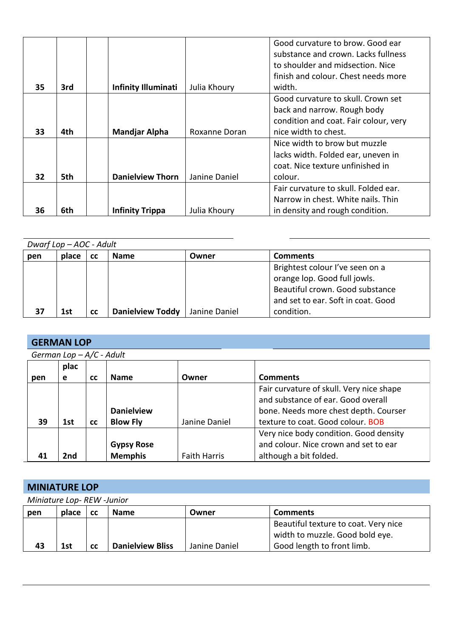|    |     |                            |               | Good curvature to brow. Good ear      |
|----|-----|----------------------------|---------------|---------------------------------------|
|    |     |                            |               | substance and crown. Lacks fullness   |
|    |     |                            |               | to shoulder and midsection. Nice      |
|    |     |                            |               | finish and colour. Chest needs more   |
| 35 | 3rd | <b>Infinity Illuminati</b> | Julia Khoury  | width.                                |
|    |     |                            |               | Good curvature to skull. Crown set    |
|    |     |                            |               | back and narrow. Rough body           |
|    |     |                            |               | condition and coat. Fair colour, very |
| 33 | 4th | <b>Mandjar Alpha</b>       | Roxanne Doran | nice width to chest.                  |
|    |     |                            |               | Nice width to brow but muzzle         |
|    |     |                            |               | lacks width. Folded ear, uneven in    |
|    |     |                            |               | coat. Nice texture unfinished in      |
| 32 | 5th | <b>Danielview Thorn</b>    | Janine Daniel | colour.                               |
|    |     |                            |               | Fair curvature to skull. Folded ear.  |
|    |     |                            |               | Narrow in chest. White nails. Thin    |
| 36 | 6th | <b>Infinity Trippa</b>     | Julia Khoury  | in density and rough condition.       |

| Dwarf Lop - AOC - Adult |       |           |                         |               |                                    |  |
|-------------------------|-------|-----------|-------------------------|---------------|------------------------------------|--|
| pen                     | place | <b>CC</b> | <b>Name</b>             | Owner         | <b>Comments</b>                    |  |
|                         |       |           |                         |               | Brightest colour I've seen on a    |  |
|                         |       |           |                         |               | orange lop. Good full jowls.       |  |
|                         |       |           |                         |               | Beautiful crown. Good substance    |  |
|                         |       |           |                         |               | and set to ear. Soft in coat. Good |  |
| 37                      | 1st   | <b>CC</b> | <b>Danielview Toddy</b> | Janine Daniel | condition.                         |  |

## **GERMAN LOP**

| German Lop - A/C - Adult |  |  |  |
|--------------------------|--|--|--|
|--------------------------|--|--|--|

|     | plac |           |                   |                     |                                          |
|-----|------|-----------|-------------------|---------------------|------------------------------------------|
| pen | e    | <b>CC</b> | <b>Name</b>       | Owner               | <b>Comments</b>                          |
|     |      |           |                   |                     | Fair curvature of skull. Very nice shape |
|     |      |           |                   |                     | and substance of ear. Good overall       |
|     |      |           | <b>Danielview</b> |                     | bone. Needs more chest depth. Courser    |
| 39  | 1st  | <b>CC</b> | <b>Blow Fly</b>   | Janine Daniel       | texture to coat. Good colour. BOB        |
|     |      |           |                   |                     | Very nice body condition. Good density   |
|     |      |           | <b>Gypsy Rose</b> |                     | and colour. Nice crown and set to ear    |
| 41  | 2nd  |           | <b>Memphis</b>    | <b>Faith Harris</b> | although a bit folded.                   |

## **MINIATURE LOP**

*Miniature Lop- REW -Junior*

| pen | place | <b>CC</b> | <b>Name</b>             | Owner         | <b>Comments</b>                      |
|-----|-------|-----------|-------------------------|---------------|--------------------------------------|
|     |       |           |                         |               | Beautiful texture to coat. Very nice |
|     |       |           |                         |               | width to muzzle. Good bold eye.      |
| 43  | 1st   | <b>CC</b> | <b>Danielview Bliss</b> | Janine Daniel | Good length to front limb.           |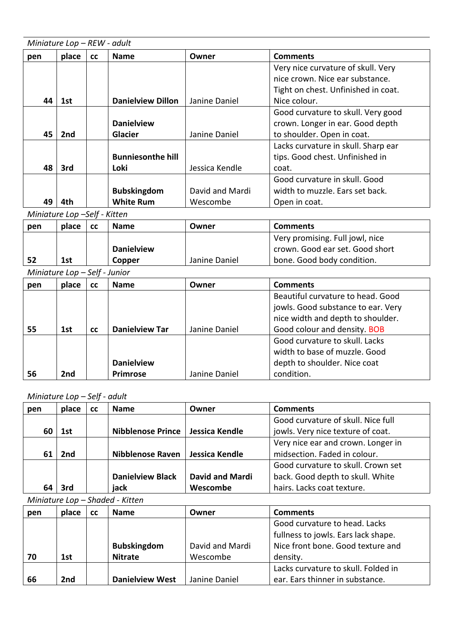|     | Miniature Lop - REW - adult |           |                          |                 |                                     |  |  |
|-----|-----------------------------|-----------|--------------------------|-----------------|-------------------------------------|--|--|
| pen | place                       | <b>CC</b> | <b>Name</b>              | Owner           | <b>Comments</b>                     |  |  |
|     |                             |           |                          |                 | Very nice curvature of skull. Very  |  |  |
|     |                             |           |                          |                 | nice crown. Nice ear substance.     |  |  |
|     |                             |           |                          |                 | Tight on chest. Unfinished in coat. |  |  |
| 44  | 1st                         |           | <b>Danielview Dillon</b> | Janine Daniel   | Nice colour.                        |  |  |
|     |                             |           |                          |                 | Good curvature to skull. Very good  |  |  |
|     |                             |           | <b>Danielview</b>        |                 | crown. Longer in ear. Good depth    |  |  |
| 45  | 2nd                         |           | <b>Glacier</b>           | Janine Daniel   | to shoulder. Open in coat.          |  |  |
|     |                             |           |                          |                 | Lacks curvature in skull. Sharp ear |  |  |
|     |                             |           | <b>Bunniesonthe hill</b> |                 | tips. Good chest. Unfinished in     |  |  |
| 48  | 3rd                         |           | Loki                     | Jessica Kendle  | coat.                               |  |  |
|     |                             |           |                          |                 | Good curvature in skull. Good       |  |  |
|     |                             |           | <b>Bubskingdom</b>       | David and Mardi | width to muzzle. Ears set back.     |  |  |
| 49  | 4th                         |           | <b>White Rum</b>         | Wescombe        | Open in coat.                       |  |  |

*Miniature Lop –Self - Kitten*

| pen | place | СC | <b>Name</b>       | Owner         | <b>Comments</b>                 |
|-----|-------|----|-------------------|---------------|---------------------------------|
|     |       |    |                   |               | Very promising. Full jowl, nice |
|     |       |    | <b>Danielview</b> |               | crown. Good ear set. Good short |
| 52  | 1st   |    | Copper            | Janine Daniel | bone. Good body condition.      |

*Miniature Lop – Self - Junior*

|     | $\frac{1}{2}$ |           | ,,,,,,,,              |               |                                    |
|-----|---------------|-----------|-----------------------|---------------|------------------------------------|
| pen | place         | <b>CC</b> | <b>Name</b>           | Owner         | <b>Comments</b>                    |
|     |               |           |                       |               | Beautiful curvature to head. Good  |
|     |               |           |                       |               | jowls. Good substance to ear. Very |
|     |               |           |                       |               | nice width and depth to shoulder.  |
| 55  | 1st           | <b>CC</b> | <b>Danielview Tar</b> | Janine Daniel | Good colour and density. BOB       |
|     |               |           |                       |               | Good curvature to skull. Lacks     |
|     |               |           |                       |               | width to base of muzzle. Good      |
|     |               |           | <b>Danielview</b>     |               | depth to shoulder. Nice coat       |
| 56  | 2nd           |           | Primrose              | Janine Daniel | condition.                         |

*Miniature Lop – Self - adult*

| pen | place | <b>CC</b> | <b>Name</b>              | Owner                  | <b>Comments</b>                    |
|-----|-------|-----------|--------------------------|------------------------|------------------------------------|
|     |       |           |                          |                        | Good curvature of skull. Nice full |
| 60  | 1st   |           | <b>Nibblenose Prince</b> | Jessica Kendle         | jowls. Very nice texture of coat.  |
|     |       |           |                          |                        | Very nice ear and crown. Longer in |
| 61  | 2nd   |           | <b>Nibblenose Raven</b>  | Jessica Kendle         | midsection. Faded in colour.       |
|     |       |           |                          |                        | Good curvature to skull. Crown set |
|     |       |           | <b>Danielview Black</b>  | <b>David and Mardi</b> | back. Good depth to skull. White   |
| 64  | 3rd   |           | jack                     | Wescombe               | hairs. Lacks coat texture.         |

*Miniature Lop – Shaded - Kitten*

| pen | place | <b>CC</b> | <b>Name</b>            | Owner           | <b>Comments</b>                     |
|-----|-------|-----------|------------------------|-----------------|-------------------------------------|
|     |       |           |                        |                 | Good curvature to head. Lacks       |
|     |       |           |                        |                 | fullness to jowls. Ears lack shape. |
|     |       |           | <b>Bubskingdom</b>     | David and Mardi | Nice front bone. Good texture and   |
| 70  | 1st   |           | <b>Nitrate</b>         | Wescombe        | density.                            |
|     |       |           |                        |                 | Lacks curvature to skull. Folded in |
| 66  | 2nd   |           | <b>Danielview West</b> | Janine Daniel   | ear. Ears thinner in substance.     |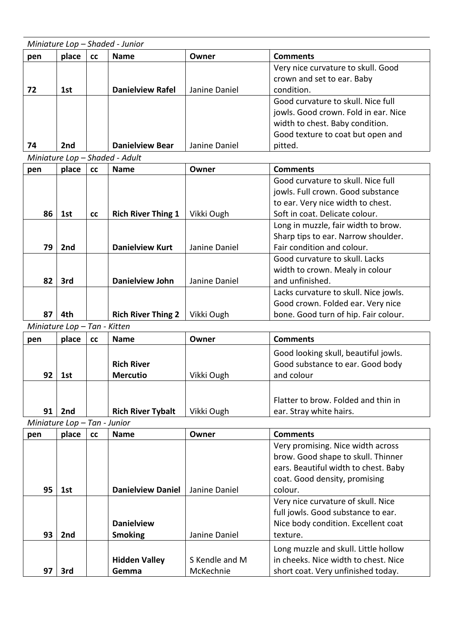|                              | Miniature Lop - Shaded - Junior |    |                                |                |                                       |  |  |  |
|------------------------------|---------------------------------|----|--------------------------------|----------------|---------------------------------------|--|--|--|
| pen                          | place                           | cc | <b>Name</b>                    | Owner          | <b>Comments</b>                       |  |  |  |
|                              |                                 |    |                                |                | Very nice curvature to skull. Good    |  |  |  |
|                              |                                 |    |                                |                | crown and set to ear. Baby            |  |  |  |
| 72                           | 1st                             |    | <b>Danielview Rafel</b>        | Janine Daniel  | condition.                            |  |  |  |
|                              |                                 |    |                                |                | Good curvature to skull. Nice full    |  |  |  |
|                              |                                 |    |                                |                | jowls. Good crown. Fold in ear. Nice  |  |  |  |
|                              |                                 |    |                                |                | width to chest. Baby condition.       |  |  |  |
|                              |                                 |    |                                |                | Good texture to coat but open and     |  |  |  |
| 74                           | 2nd                             |    | <b>Danielview Bear</b>         | Janine Daniel  | pitted.                               |  |  |  |
|                              |                                 |    | Miniature Lop - Shaded - Adult |                |                                       |  |  |  |
| pen                          | place                           | cc | <b>Name</b>                    | Owner          | <b>Comments</b>                       |  |  |  |
|                              |                                 |    |                                |                | Good curvature to skull. Nice full    |  |  |  |
|                              |                                 |    |                                |                | jowls. Full crown. Good substance     |  |  |  |
|                              |                                 |    |                                |                | to ear. Very nice width to chest.     |  |  |  |
| 86                           | 1st                             | cc | <b>Rich River Thing 1</b>      | Vikki Ough     | Soft in coat. Delicate colour.        |  |  |  |
|                              |                                 |    |                                |                | Long in muzzle, fair width to brow.   |  |  |  |
|                              |                                 |    |                                |                | Sharp tips to ear. Narrow shoulder.   |  |  |  |
| 79                           | 2nd                             |    | <b>Danielview Kurt</b>         | Janine Daniel  | Fair condition and colour.            |  |  |  |
|                              |                                 |    |                                |                | Good curvature to skull. Lacks        |  |  |  |
|                              |                                 |    |                                |                | width to crown. Mealy in colour       |  |  |  |
| 82                           | 3rd                             |    | <b>Danielview John</b>         | Janine Daniel  | and unfinished.                       |  |  |  |
|                              |                                 |    |                                |                | Lacks curvature to skull. Nice jowls. |  |  |  |
|                              |                                 |    |                                |                | Good crown. Folded ear. Very nice     |  |  |  |
| 87                           | 4th                             |    | <b>Rich River Thing 2</b>      | Vikki Ough     | bone. Good turn of hip. Fair colour.  |  |  |  |
| Miniature Lop - Tan - Kitten |                                 |    |                                |                |                                       |  |  |  |
| pen                          | place                           | cc | <b>Name</b>                    | Owner          | <b>Comments</b>                       |  |  |  |
|                              |                                 |    |                                |                | Good looking skull, beautiful jowls.  |  |  |  |
|                              |                                 |    | <b>Rich River</b>              |                | Good substance to ear. Good body      |  |  |  |
| 92                           | 1st                             |    | <b>Mercutio</b>                | Vikki Ough     | and colour                            |  |  |  |
|                              |                                 |    |                                |                |                                       |  |  |  |
|                              |                                 |    |                                |                | Flatter to brow. Folded and thin in   |  |  |  |
| 91                           | 2nd                             |    | <b>Rich River Tybalt</b>       | Vikki Ough     | ear. Stray white hairs.               |  |  |  |
| Miniature Lop - Tan - Junior |                                 |    |                                |                |                                       |  |  |  |
| pen                          | place                           | cc | <b>Name</b>                    | Owner          | <b>Comments</b>                       |  |  |  |
|                              |                                 |    |                                |                | Very promising. Nice width across     |  |  |  |
|                              |                                 |    |                                |                | brow. Good shape to skull. Thinner    |  |  |  |
|                              |                                 |    |                                |                | ears. Beautiful width to chest. Baby  |  |  |  |
|                              |                                 |    |                                |                | coat. Good density, promising         |  |  |  |
| 95                           | 1st                             |    | <b>Danielview Daniel</b>       | Janine Daniel  | colour.                               |  |  |  |
|                              |                                 |    |                                |                | Very nice curvature of skull. Nice    |  |  |  |
|                              |                                 |    |                                |                | full jowls. Good substance to ear.    |  |  |  |
|                              |                                 |    | <b>Danielview</b>              |                | Nice body condition. Excellent coat   |  |  |  |
| 93                           | 2nd                             |    | <b>Smoking</b>                 | Janine Daniel  | texture.                              |  |  |  |
|                              |                                 |    |                                |                | Long muzzle and skull. Little hollow  |  |  |  |
|                              |                                 |    | <b>Hidden Valley</b>           | S Kendle and M | in cheeks. Nice width to chest. Nice  |  |  |  |
| 97                           | 3rd                             |    | Gemma                          | McKechnie      | short coat. Very unfinished today.    |  |  |  |
|                              |                                 |    |                                |                |                                       |  |  |  |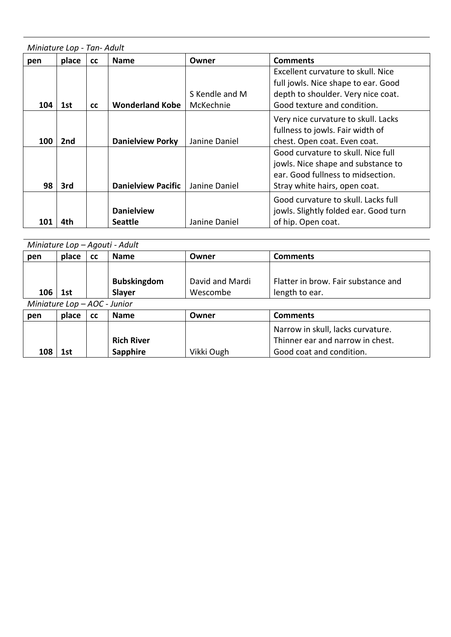| Miniature Lop - Tan- Adult |       |           |                                     |                             |                                                                                                                                                |  |  |  |
|----------------------------|-------|-----------|-------------------------------------|-----------------------------|------------------------------------------------------------------------------------------------------------------------------------------------|--|--|--|
| pen                        | place | cc        | <b>Name</b>                         | Owner                       | <b>Comments</b>                                                                                                                                |  |  |  |
| 104                        | 1st   | <b>CC</b> | <b>Wonderland Kobe</b>              | S Kendle and M<br>McKechnie | Excellent curvature to skull. Nice<br>full jowls. Nice shape to ear. Good<br>depth to shoulder. Very nice coat.<br>Good texture and condition. |  |  |  |
| <b>100</b>                 | 2nd   |           | <b>Danielview Porky</b>             | Janine Daniel               | Very nice curvature to skull. Lacks<br>fullness to jowls. Fair width of<br>chest. Open coat. Even coat.                                        |  |  |  |
| 98                         | 3rd   |           | <b>Danielview Pacific</b>           | Janine Daniel               | Good curvature to skull. Nice full<br>jowls. Nice shape and substance to<br>ear. Good fullness to midsection.<br>Stray white hairs, open coat. |  |  |  |
| 101                        | 4th   |           | <b>Danielview</b><br><b>Seattle</b> | Janine Daniel               | Good curvature to skull. Lacks full<br>jowls. Slightly folded ear. Good turn<br>of hip. Open coat.                                             |  |  |  |

|                              | Miniature Lop - Agouti - Adult |           |                    |                 |                                     |  |  |
|------------------------------|--------------------------------|-----------|--------------------|-----------------|-------------------------------------|--|--|
| pen                          | place                          | <b>CC</b> | <b>Name</b>        | Owner           | <b>Comments</b>                     |  |  |
|                              |                                |           |                    |                 |                                     |  |  |
|                              |                                |           | <b>Bubskingdom</b> | David and Mardi | Flatter in brow. Fair substance and |  |  |
| 106                          | 1st                            |           | <b>Slayer</b>      | Wescombe        | length to ear.                      |  |  |
| Miniature Lop - AOC - Junior |                                |           |                    |                 |                                     |  |  |
| pen                          | place                          | cc        | <b>Name</b>        | Owner           | <b>Comments</b>                     |  |  |
|                              |                                |           |                    |                 | Narrow in skull, lacks curvature.   |  |  |
|                              |                                |           | <b>Rich River</b>  |                 | Thinner ear and narrow in chest.    |  |  |
| 108                          | 1st                            |           | Sapphire           | Vikki Ough      | Good coat and condition.            |  |  |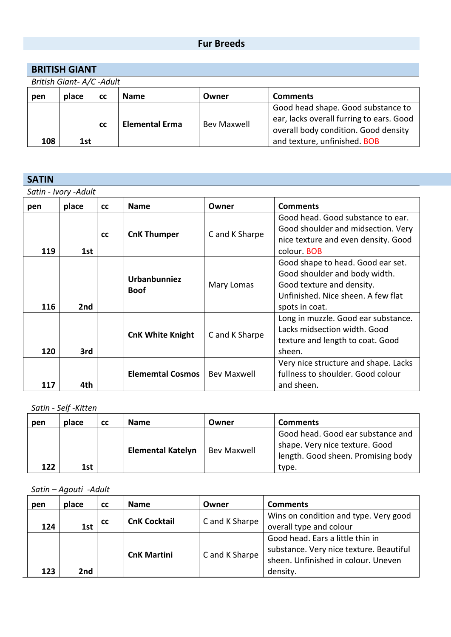## **Fur Breeds**

| <b>BRITISH GIANT</b> |  |
|----------------------|--|
|----------------------|--|

*British Giant- A/C -Adult*

| pen | place | <b>CC</b> | <b>Name</b>           | Owner              | <b>Comments</b>                                                                                                                                        |  |  |  |
|-----|-------|-----------|-----------------------|--------------------|--------------------------------------------------------------------------------------------------------------------------------------------------------|--|--|--|
| 108 | 1st   | <b>CC</b> | <b>Elemental Erma</b> | <b>Bev Maxwell</b> | Good head shape. Good substance to<br>ear, lacks overall furring to ears. Good<br>overall body condition. Good density<br>and texture, unfinished. BOB |  |  |  |

#### **SATIN**

*Satin - Ivory -Adult*

| pen | place | <b>CC</b> | <b>Name</b>                 | Owner          | <b>Comments</b>                                                                                                                                         |
|-----|-------|-----------|-----------------------------|----------------|---------------------------------------------------------------------------------------------------------------------------------------------------------|
| 119 | 1st   | cc        | <b>CnK Thumper</b>          | C and K Sharpe | Good head. Good substance to ear.<br>Good shoulder and midsection. Very<br>nice texture and even density. Good<br>colour. BOB                           |
| 116 | 2nd   |           | Urbanbunniez<br><b>Boof</b> | Mary Lomas     | Good shape to head. Good ear set.<br>Good shoulder and body width.<br>Good texture and density.<br>Unfinished. Nice sheen. A few flat<br>spots in coat. |
| 120 | 3rd   |           | <b>CnK White Knight</b>     | C and K Sharpe | Long in muzzle. Good ear substance.<br>Lacks midsection width. Good<br>texture and length to coat. Good<br>sheen.                                       |
| 117 | 4th   |           | <b>Elememtal Cosmos</b>     | Bev Maxwell    | Very nice structure and shape. Lacks<br>fullness to shoulder. Good colour<br>and sheen.                                                                 |

#### *Satin - Self -Kitten*

| pen | place | <b>CC</b> | <b>Name</b>              | Owner              | <b>Comments</b>                                                                                                    |
|-----|-------|-----------|--------------------------|--------------------|--------------------------------------------------------------------------------------------------------------------|
| 122 | 1st   |           | <b>Elemental Katelyn</b> | <b>Bev Maxwell</b> | Good head. Good ear substance and<br>shape. Very nice texture. Good<br>length. Good sheen. Promising body<br>type. |

*Satin – Agouti -Adult*

| pen | place | <b>CC</b> | <b>Name</b>         | Owner          | <b>Comments</b>                                                                                                                |
|-----|-------|-----------|---------------------|----------------|--------------------------------------------------------------------------------------------------------------------------------|
| 124 | 1st   | <b>CC</b> | <b>CnK Cocktail</b> | C and K Sharpe | Wins on condition and type. Very good<br>overall type and colour                                                               |
| 123 | 2nd   |           | <b>CnK Martini</b>  | C and K Sharpe | Good head. Ears a little thin in<br>substance. Very nice texture. Beautiful<br>sheen. Unfinished in colour. Uneven<br>density. |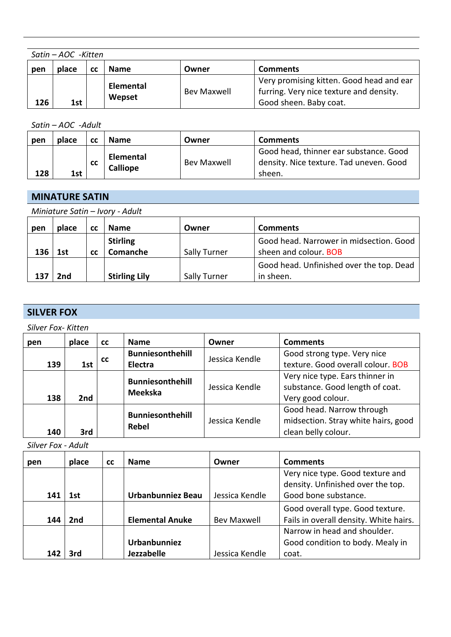| Satin – AOC -Kitten |       |    |                  |             |                                          |  |  |
|---------------------|-------|----|------------------|-------------|------------------------------------------|--|--|
| pen                 | place | СC | <b>Name</b>      | Owner       | <b>Comments</b>                          |  |  |
|                     |       |    |                  |             | Very promising kitten. Good head and ear |  |  |
|                     |       |    | <b>Elemental</b> | Bev Maxwell | furring. Very nice texture and density.  |  |  |
| 126                 | 1st   |    | Wepset           |             | Good sheen. Baby coat.                   |  |  |

*Satin – AOC -Adult*

| pen | place | СC        | <b>Name</b>                  | Owner              | <b>Comments</b>                                                                             |
|-----|-------|-----------|------------------------------|--------------------|---------------------------------------------------------------------------------------------|
| 128 | 1st   | <b>CC</b> | Elemental<br><b>Calliope</b> | <b>Bev Maxwell</b> | Good head, thinner ear substance. Good<br>density. Nice texture. Tad uneven. Good<br>sheen. |

## **MINATURE SATIN**

| Miniature Satin - Ivory - Adult |       |           |                      |              |                                          |  |  |
|---------------------------------|-------|-----------|----------------------|--------------|------------------------------------------|--|--|
| pen                             | place | <b>CC</b> | <b>Name</b>          | Owner        | <b>Comments</b>                          |  |  |
|                                 |       |           | <b>Stirling</b>      |              | Good head. Narrower in midsection. Good  |  |  |
| 136                             | 1st   | <b>CC</b> | Comanche             | Sally Turner | sheen and colour. BOB                    |  |  |
|                                 |       |           |                      |              | Good head. Unfinished over the top. Dead |  |  |
| 137                             | 2nd   |           | <b>Stirling Lily</b> | Sally Turner | in sheen.                                |  |  |

## **SILVER FOX**

*Silver Fox- Kitten*

| pen | place | <b>CC</b> | <b>Name</b>                               | Owner          | <b>Comments</b>                                                                         |
|-----|-------|-----------|-------------------------------------------|----------------|-----------------------------------------------------------------------------------------|
| 139 | 1st   | <b>CC</b> | <b>Bunniesonthehill</b><br>Electra        | Jessica Kendle | Good strong type. Very nice<br>texture. Good overall colour. BOB                        |
| 138 | 2nd   |           | <b>Bunniesonthehill</b><br><b>Meekska</b> | Jessica Kendle | Very nice type. Ears thinner in<br>substance. Good length of coat.<br>Very good colour. |
| 140 | 3rd   |           | <b>Bunniesonthehill</b><br><b>Rebel</b>   | Jessica Kendle | Good head. Narrow through<br>midsection. Stray white hairs, good<br>clean belly colour. |

*Silver Fox - Adult*

| pen | place | <b>CC</b> | <b>Name</b>            | Owner              | <b>Comments</b>                                                                               |
|-----|-------|-----------|------------------------|--------------------|-----------------------------------------------------------------------------------------------|
| 141 | 1st   |           | Urbanbunniez Beau      | Jessica Kendle     | Very nice type. Good texture and<br>density. Unfinished over the top.<br>Good bone substance. |
|     |       |           |                        |                    |                                                                                               |
|     |       |           |                        |                    | Good overall type. Good texture.                                                              |
| 144 | 2nd   |           | <b>Elemental Anuke</b> | <b>Bev Maxwell</b> | Fails in overall density. White hairs.                                                        |
|     |       |           |                        |                    | Narrow in head and shoulder.                                                                  |
|     |       |           | Urbanbunniez           |                    | Good condition to body. Mealy in                                                              |
| 142 | 3rd   |           | Jezzabelle             | Jessica Kendle     | coat.                                                                                         |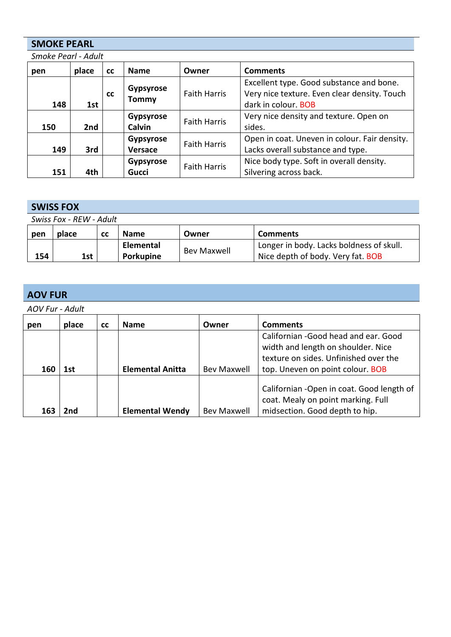#### **SMOKE PEARL**

*Smoke Pearl - Adult*

| pen | place | <b>CC</b> | <b>Name</b>                       | Owner               | <b>Comments</b>                                                                                                 |
|-----|-------|-----------|-----------------------------------|---------------------|-----------------------------------------------------------------------------------------------------------------|
| 148 | 1st   | <b>CC</b> | <b>Gypsyrose</b><br>Tommy         | <b>Faith Harris</b> | Excellent type. Good substance and bone.<br>Very nice texture. Even clear density. Touch<br>dark in colour. BOB |
| 150 | 2nd   |           | <b>Gypsyrose</b><br><b>Calvin</b> | <b>Faith Harris</b> | Very nice density and texture. Open on<br>sides.                                                                |
| 149 | 3rd   |           | <b>Gypsyrose</b><br>Versace       | <b>Faith Harris</b> | Open in coat. Uneven in colour. Fair density.<br>Lacks overall substance and type.                              |
| 151 | 4th   |           | <b>Gypsyrose</b><br><b>Gucci</b>  | <b>Faith Harris</b> | Nice body type. Soft in overall density.<br>Silvering across back.                                              |

## **SWISS FOX**

| Swiss Fox - REW - Adult |       |    |             |             |                                          |  |  |
|-------------------------|-------|----|-------------|-------------|------------------------------------------|--|--|
| pen                     | place | cс | <b>Name</b> | Owner       | <b>Comments</b>                          |  |  |
|                         |       |    | Elemental   | Bev Maxwell | Longer in body. Lacks boldness of skull. |  |  |
| 154                     | 1st   |    | Porkupine   |             | Nice depth of body. Very fat. BOB        |  |  |

## **AOV FUR**

*AOV Fur - Adult*

| pen | place | <b>CC</b> | <b>Name</b>             | Owner              | <b>Comments</b>                                                                                                      |
|-----|-------|-----------|-------------------------|--------------------|----------------------------------------------------------------------------------------------------------------------|
|     |       |           |                         |                    | Californian - Good head and ear. Good<br>width and length on shoulder. Nice<br>texture on sides. Unfinished over the |
| 160 | 1st   |           | <b>Elemental Anitta</b> | <b>Bev Maxwell</b> | top. Uneven on point colour. BOB                                                                                     |
|     |       |           |                         |                    | Californian - Open in coat. Good length of<br>coat. Mealy on point marking. Full                                     |
| 163 | 2nd   |           | <b>Elemental Wendy</b>  | <b>Bev Maxwell</b> | midsection. Good depth to hip.                                                                                       |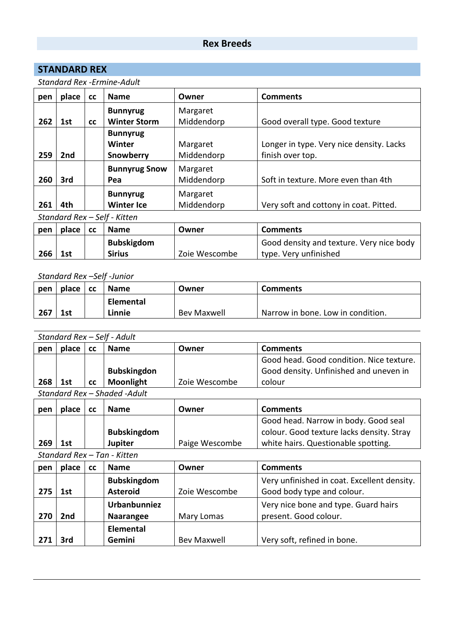## **Rex Breeds**

#### **STANDARD REX**

#### *Standard Rex -Ermine-Adult*

| pen   | place     | cc        | <b>Name</b>                  | Owner      | <b>Comments</b>                          |
|-------|-----------|-----------|------------------------------|------------|------------------------------------------|
|       |           |           | <b>Bunnyrug</b>              | Margaret   |                                          |
| 262   | 1st       | <b>CC</b> | <b>Winter Storm</b>          | Middendorp | Good overall type. Good texture          |
|       |           |           | <b>Bunnyrug</b>              |            |                                          |
|       |           |           | Winter                       | Margaret   | Longer in type. Very nice density. Lacks |
| 259   | 2nd       |           | <b>Snowberry</b>             | Middendorp | finish over top.                         |
|       |           |           | <b>Bunnyrug Snow</b>         | Margaret   |                                          |
| 260   | 3rd       |           | Pea                          | Middendorp | Soft in texture. More even than 4th      |
|       |           |           | <b>Bunnyrug</b>              | Margaret   |                                          |
| 261   | 4th       |           | <b>Winter Ice</b>            | Middendorp | Very soft and cottony in coat. Pitted.   |
|       |           |           | Standard Rex - Self - Kitten |            |                                          |
| nen l | nlace Lcc |           | Name                         | Owner      | Comments                                 |

| pen | $place$ $cc$ | <b>Name</b>       | Owner         | <b>Comments</b>                          |
|-----|--------------|-------------------|---------------|------------------------------------------|
|     |              | <b>Bubskigdom</b> |               | Good density and texture. Very nice body |
| 266 | 1st          | <b>Sirius</b>     | Zoie Wescombe | type. Very unfinished                    |

#### *Standard Rex –Self -Junior*

| pen | place | <b>CC</b> | <b>Name</b>      | Owner       | <b>Comments</b>                   |
|-----|-------|-----------|------------------|-------------|-----------------------------------|
|     |       |           | <b>Elemental</b> |             |                                   |
| 267 | 1st   |           | Linnie           | Bev Maxwell | Narrow in bone. Low in condition. |

#### *Standard Rex – Self - Adult*

| pen | place | <b>CC</b> | <b>Name</b>        | Owner         | <b>Comments</b>                          |
|-----|-------|-----------|--------------------|---------------|------------------------------------------|
|     |       |           |                    |               | Good head. Good condition. Nice texture. |
|     |       |           | <b>Bubskingdon</b> |               | Good density. Unfinished and uneven in   |
| 268 | 1st   | <b>CC</b> | <b>Moonlight</b>   | Zoie Wescombe | colour                                   |

*Standard Rex – Shaded -Adult*

| pen | place | <b>Name</b>        | Owner          | <b>Comments</b>                           |
|-----|-------|--------------------|----------------|-------------------------------------------|
|     |       |                    |                | Good head. Narrow in body. Good seal      |
|     |       | <b>Bubskingdom</b> |                | colour. Good texture lacks density. Stray |
| 269 | 1st   | <b>Jupiter</b>     | Paige Wescombe | white hairs. Questionable spotting.       |

*Standard Rex – Tan - Kitten*

| pen | place           | <b>CC</b> | <b>Name</b>                           | Owner              | <b>Comments</b>                                                           |
|-----|-----------------|-----------|---------------------------------------|--------------------|---------------------------------------------------------------------------|
| 275 | 1st             |           | <b>Bubskingdom</b><br><b>Asteroid</b> | Zoie Wescombe      | Very unfinished in coat. Excellent density.<br>Good body type and colour. |
| 270 | 2 <sub>nd</sub> |           | Urbanbunniez<br>Naarangee             | Mary Lomas         | Very nice bone and type. Guard hairs<br>present. Good colour.             |
|     | 3rd             |           | <b>Elemental</b><br>Gemini            | <b>Bev Maxwell</b> | Very soft, refined in bone.                                               |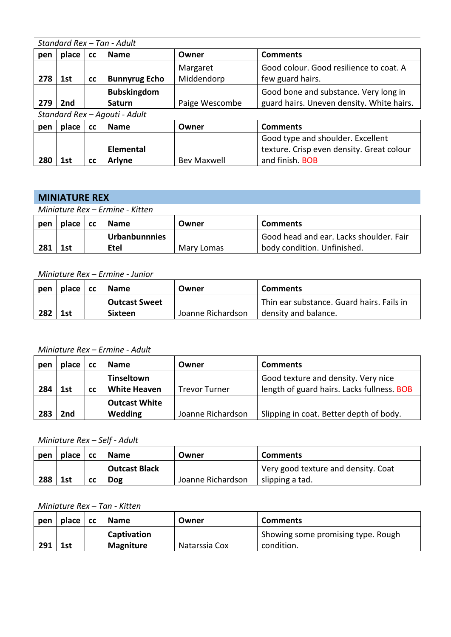|     | Standard Rex - Tan - Adult |           |                                     |                        |                                                                                    |  |  |  |
|-----|----------------------------|-----------|-------------------------------------|------------------------|------------------------------------------------------------------------------------|--|--|--|
| pen | place                      | <b>CC</b> | <b>Name</b>                         | Owner                  | <b>Comments</b>                                                                    |  |  |  |
| 278 | 1st                        | <b>CC</b> | <b>Bunnyrug Echo</b>                | Margaret<br>Middendorp | Good colour. Good resilience to coat. A<br>few guard hairs.                        |  |  |  |
| 279 | 2nd                        |           | <b>Bubskingdom</b><br><b>Saturn</b> | Paige Wescombe         | Good bone and substance. Very long in<br>guard hairs. Uneven density. White hairs. |  |  |  |
|     |                            |           | Standard Rex - Agouti - Adult       |                        |                                                                                    |  |  |  |
| pen | place                      | <b>CC</b> | <b>Name</b>                         | Owner                  | <b>Comments</b>                                                                    |  |  |  |
|     |                            |           |                                     |                        | Good type and shoulder. Excellent                                                  |  |  |  |
|     |                            |           | <b>Elemental</b>                    |                        | texture. Crisp even density. Great colour                                          |  |  |  |
| 280 | 1st                        | <b>CC</b> | Arlyne                              | <b>Bev Maxwell</b>     | and finish. BOB                                                                    |  |  |  |

### **MINIATURE REX**

*Miniature Rex – Ermine - Kitten*

| pen | place | <b>CC</b> | <b>Name</b>          | Owner      | <b>Comments</b>                         |
|-----|-------|-----------|----------------------|------------|-----------------------------------------|
|     |       |           | <b>Urbanbunnnies</b> |            | Good head and ear. Lacks shoulder. Fair |
| 281 | 1st   |           | Etel                 | Mary Lomas | body condition. Unfinished.             |

#### *Miniature Rex – Ermine - Junior*

| pen | place | <b>CC</b> | <b>Name</b>          | Owner             | <b>Comments</b>                           |
|-----|-------|-----------|----------------------|-------------------|-------------------------------------------|
|     |       |           | <b>Outcast Sweet</b> |                   | Thin ear substance. Guard hairs. Fails in |
| 282 | 1st   |           | <b>Sixteen</b>       | Joanne Richardson | density and balance.                      |

*Miniature Rex – Ermine - Adult*

| pen | place | СC | <b>Name</b>          | Owner                | <b>Comments</b>                            |
|-----|-------|----|----------------------|----------------------|--------------------------------------------|
|     |       |    | <b>Tinseltown</b>    |                      | Good texture and density. Very nice        |
| 284 | 1st   | СC | <b>White Heaven</b>  | <b>Trevor Turner</b> | length of guard hairs. Lacks fullness. BOB |
|     |       |    | <b>Outcast White</b> |                      |                                            |
| 283 | 2nd   |    | Wedding              | Joanne Richardson    | Slipping in coat. Better depth of body.    |

*Miniature Rex – Self - Adult*

| pen | place | $\overline{\phantom{a}}$ cc | <b>Name</b>          | Owner             | <b>Comments</b>                     |
|-----|-------|-----------------------------|----------------------|-------------------|-------------------------------------|
|     |       |                             | <b>Outcast Black</b> |                   | Very good texture and density. Coat |
| 288 | 1st   | СC                          | <b>Dog</b>           | Joanne Richardson | slipping a tad.                     |

*Miniature Rex – Tan - Kitten*

| pen | place | <b>CC</b> | <b>Name</b>      | Owner         | <b>Comments</b>                    |
|-----|-------|-----------|------------------|---------------|------------------------------------|
|     |       |           | Captivation      |               | Showing some promising type. Rough |
| 291 | 1st   |           | <b>Magniture</b> | Natarssia Cox | condition.                         |